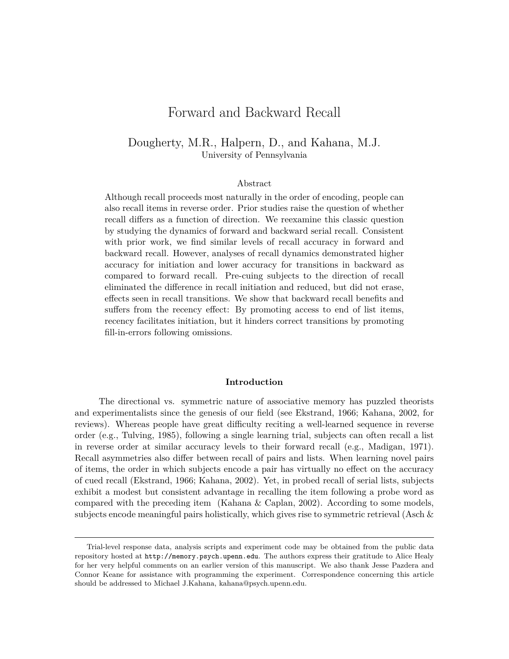# Forward and Backward Recall

# Dougherty, M.R., Halpern, D., and Kahana, M.J. University of Pennsylvania

#### Abstract

Although recall proceeds most naturally in the order of encoding, people can also recall items in reverse order. Prior studies raise the question of whether recall differs as a function of direction. We reexamine this classic question by studying the dynamics of forward and backward serial recall. Consistent with prior work, we find similar levels of recall accuracy in forward and backward recall. However, analyses of recall dynamics demonstrated higher accuracy for initiation and lower accuracy for transitions in backward as compared to forward recall. Pre-cuing subjects to the direction of recall eliminated the difference in recall initiation and reduced, but did not erase, effects seen in recall transitions. We show that backward recall benefits and suffers from the recency effect: By promoting access to end of list items, recency facilitates initiation, but it hinders correct transitions by promoting fill-in-errors following omissions.

#### **Introduction**

The directional vs. symmetric nature of associative memory has puzzled theorists and experimentalists since the genesis of our field (see Ekstrand, 1966; Kahana, 2002, for reviews). Whereas people have great difficulty reciting a well-learned sequence in reverse order (e.g., Tulving, 1985), following a single learning trial, subjects can often recall a list in reverse order at similar accuracy levels to their forward recall (e.g., Madigan, 1971). Recall asymmetries also differ between recall of pairs and lists. When learning novel pairs of items, the order in which subjects encode a pair has virtually no effect on the accuracy of cued recall (Ekstrand, 1966; Kahana, 2002). Yet, in probed recall of serial lists, subjects exhibit a modest but consistent advantage in recalling the item following a probe word as compared with the preceding item (Kahana & Caplan, 2002). According to some models, subjects encode meaningful pairs holistically, which gives rise to symmetric retrieval (Asch  $\&$ 

Trial-level response data, analysis scripts and experiment code may be obtained from the public data repository hosted at http://memory.psych.upenn.edu. The authors express their gratitude to Alice Healy for her very helpful comments on an earlier version of this manuscript. We also thank Jesse Pazdera and Connor Keane for assistance with programming the experiment. Correspondence concerning this article should be addressed to Michael J.Kahana, kahana@psych.upenn.edu.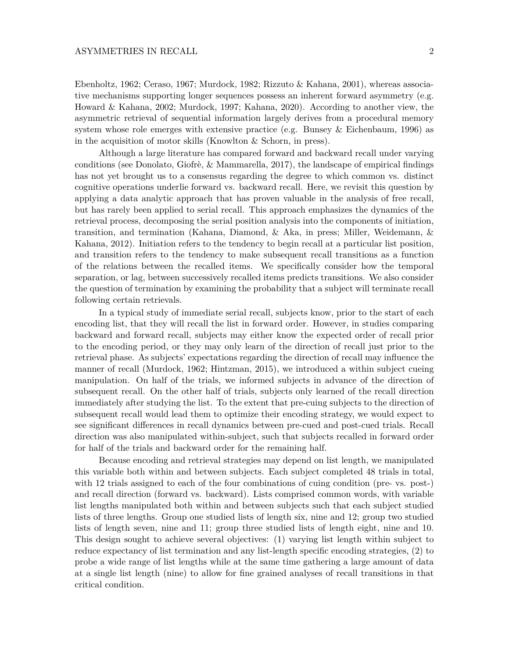Ebenholtz, 1962; Ceraso, 1967; Murdock, 1982; Rizzuto & Kahana, 2001), whereas associative mechanisms supporting longer sequences possess an inherent forward asymmetry (e.g. Howard & Kahana, 2002; Murdock, 1997; Kahana, 2020). According to another view, the asymmetric retrieval of sequential information largely derives from a procedural memory system whose role emerges with extensive practice (e.g. Bunsey & Eichenbaum, 1996) as in the acquisition of motor skills (Knowlton & Schorn, in press).

Although a large literature has compared forward and backward recall under varying conditions (see Donolato, Giofrè, & Mammarella, 2017), the landscape of empirical findings has not yet brought us to a consensus regarding the degree to which common vs. distinct cognitive operations underlie forward vs. backward recall. Here, we revisit this question by applying a data analytic approach that has proven valuable in the analysis of free recall, but has rarely been applied to serial recall. This approach emphasizes the dynamics of the retrieval process, decomposing the serial position analysis into the components of initiation, transition, and termination (Kahana, Diamond, & Aka, in press; Miller, Weidemann, & Kahana, 2012). Initiation refers to the tendency to begin recall at a particular list position, and transition refers to the tendency to make subsequent recall transitions as a function of the relations between the recalled items. We specifically consider how the temporal separation, or lag, between successively recalled items predicts transitions. We also consider the question of termination by examining the probability that a subject will terminate recall following certain retrievals.

In a typical study of immediate serial recall, subjects know, prior to the start of each encoding list, that they will recall the list in forward order. However, in studies comparing backward and forward recall, subjects may either know the expected order of recall prior to the encoding period, or they may only learn of the direction of recall just prior to the retrieval phase. As subjects' expectations regarding the direction of recall may influence the manner of recall (Murdock, 1962; Hintzman, 2015), we introduced a within subject cueing manipulation. On half of the trials, we informed subjects in advance of the direction of subsequent recall. On the other half of trials, subjects only learned of the recall direction immediately after studying the list. To the extent that pre-cuing subjects to the direction of subsequent recall would lead them to optimize their encoding strategy, we would expect to see significant differences in recall dynamics between pre-cued and post-cued trials. Recall direction was also manipulated within-subject, such that subjects recalled in forward order for half of the trials and backward order for the remaining half.

Because encoding and retrieval strategies may depend on list length, we manipulated this variable both within and between subjects. Each subject completed 48 trials in total, with 12 trials assigned to each of the four combinations of cuing condition (pre- vs. post-) and recall direction (forward vs. backward). Lists comprised common words, with variable list lengths manipulated both within and between subjects such that each subject studied lists of three lengths. Group one studied lists of length six, nine and 12; group two studied lists of length seven, nine and 11; group three studied lists of length eight, nine and 10. This design sought to achieve several objectives: (1) varying list length within subject to reduce expectancy of list termination and any list-length specific encoding strategies, (2) to probe a wide range of list lengths while at the same time gathering a large amount of data at a single list length (nine) to allow for fine grained analyses of recall transitions in that critical condition.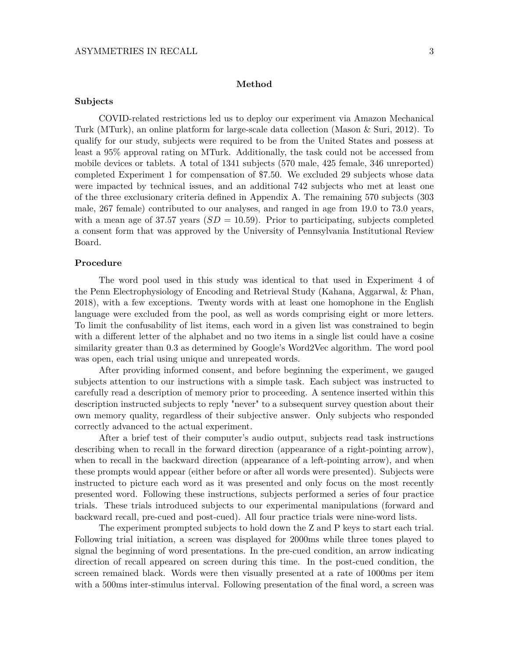#### **Method**

# **Subjects**

COVID-related restrictions led us to deploy our experiment via Amazon Mechanical Turk (MTurk), an online platform for large-scale data collection (Mason & Suri, 2012). To qualify for our study, subjects were required to be from the United States and possess at least a 95% approval rating on MTurk. Additionally, the task could not be accessed from mobile devices or tablets. A total of 1341 subjects (570 male, 425 female, 346 unreported) completed Experiment 1 for compensation of \$7.50. We excluded 29 subjects whose data were impacted by technical issues, and an additional 742 subjects who met at least one of the three exclusionary criteria defined in Appendix A. The remaining 570 subjects (303 male, 267 female) contributed to our analyses, and ranged in age from 19.0 to 73.0 years, with a mean age of 37.57 years  $(SD = 10.59)$ . Prior to participating, subjects completed a consent form that was approved by the University of Pennsylvania Institutional Review Board.

#### **Procedure**

The word pool used in this study was identical to that used in Experiment 4 of the Penn Electrophysiology of Encoding and Retrieval Study (Kahana, Aggarwal, & Phan, 2018), with a few exceptions. Twenty words with at least one homophone in the English language were excluded from the pool, as well as words comprising eight or more letters. To limit the confusability of list items, each word in a given list was constrained to begin with a different letter of the alphabet and no two items in a single list could have a cosine similarity greater than 0.3 as determined by Google's Word2Vec algorithm. The word pool was open, each trial using unique and unrepeated words.

After providing informed consent, and before beginning the experiment, we gauged subjects attention to our instructions with a simple task. Each subject was instructed to carefully read a description of memory prior to proceeding. A sentence inserted within this description instructed subjects to reply "never" to a subsequent survey question about their own memory quality, regardless of their subjective answer. Only subjects who responded correctly advanced to the actual experiment.

After a brief test of their computer's audio output, subjects read task instructions describing when to recall in the forward direction (appearance of a right-pointing arrow), when to recall in the backward direction (appearance of a left-pointing arrow), and when these prompts would appear (either before or after all words were presented). Subjects were instructed to picture each word as it was presented and only focus on the most recently presented word. Following these instructions, subjects performed a series of four practice trials. These trials introduced subjects to our experimental manipulations (forward and backward recall, pre-cued and post-cued). All four practice trials were nine-word lists.

The experiment prompted subjects to hold down the Z and P keys to start each trial. Following trial initiation, a screen was displayed for 2000ms while three tones played to signal the beginning of word presentations. In the pre-cued condition, an arrow indicating direction of recall appeared on screen during this time. In the post-cued condition, the screen remained black. Words were then visually presented at a rate of 1000ms per item with a 500ms inter-stimulus interval. Following presentation of the final word, a screen was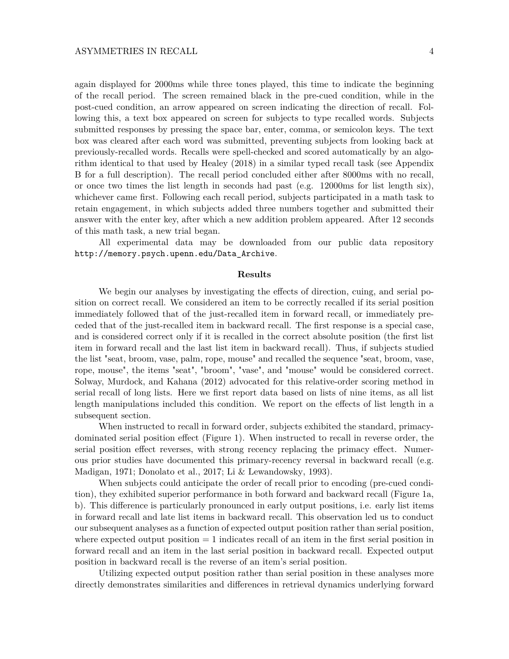again displayed for 2000ms while three tones played, this time to indicate the beginning of the recall period. The screen remained black in the pre-cued condition, while in the post-cued condition, an arrow appeared on screen indicating the direction of recall. Following this, a text box appeared on screen for subjects to type recalled words. Subjects submitted responses by pressing the space bar, enter, comma, or semicolon keys. The text box was cleared after each word was submitted, preventing subjects from looking back at previously-recalled words. Recalls were spell-checked and scored automatically by an algorithm identical to that used by Healey (2018) in a similar typed recall task (see Appendix B for a full description). The recall period concluded either after 8000ms with no recall, or once two times the list length in seconds had past (e.g. 12000ms for list length six), whichever came first. Following each recall period, subjects participated in a math task to retain engagement, in which subjects added three numbers together and submitted their answer with the enter key, after which a new addition problem appeared. After 12 seconds of this math task, a new trial began.

All experimental data may be downloaded from our public data repository http://memory.psych.upenn.edu/Data\_Archive.

### **Results**

We begin our analyses by investigating the effects of direction, cuing, and serial position on correct recall. We considered an item to be correctly recalled if its serial position immediately followed that of the just-recalled item in forward recall, or immediately preceded that of the just-recalled item in backward recall. The first response is a special case, and is considered correct only if it is recalled in the correct absolute position (the first list item in forward recall and the last list item in backward recall). Thus, if subjects studied the list "seat, broom, vase, palm, rope, mouse" and recalled the sequence "seat, broom, vase, rope, mouse", the items "seat", "broom", "vase", and "mouse" would be considered correct. Solway, Murdock, and Kahana (2012) advocated for this relative-order scoring method in serial recall of long lists. Here we first report data based on lists of nine items, as all list length manipulations included this condition. We report on the effects of list length in a subsequent section.

When instructed to recall in forward order, subjects exhibited the standard, primacydominated serial position effect (Figure 1). When instructed to recall in reverse order, the serial position effect reverses, with strong recency replacing the primacy effect. Numerous prior studies have documented this primary-recency reversal in backward recall (e.g. Madigan, 1971; Donolato et al., 2017; Li & Lewandowsky, 1993).

When subjects could anticipate the order of recall prior to encoding (pre-cued condition), they exhibited superior performance in both forward and backward recall (Figure 1a, b). This difference is particularly pronounced in early output positions, i.e. early list items in forward recall and late list items in backward recall. This observation led us to conduct our subsequent analyses as a function of expected output position rather than serial position, where expected output position  $= 1$  indicates recall of an item in the first serial position in forward recall and an item in the last serial position in backward recall. Expected output position in backward recall is the reverse of an item's serial position.

Utilizing expected output position rather than serial position in these analyses more directly demonstrates similarities and differences in retrieval dynamics underlying forward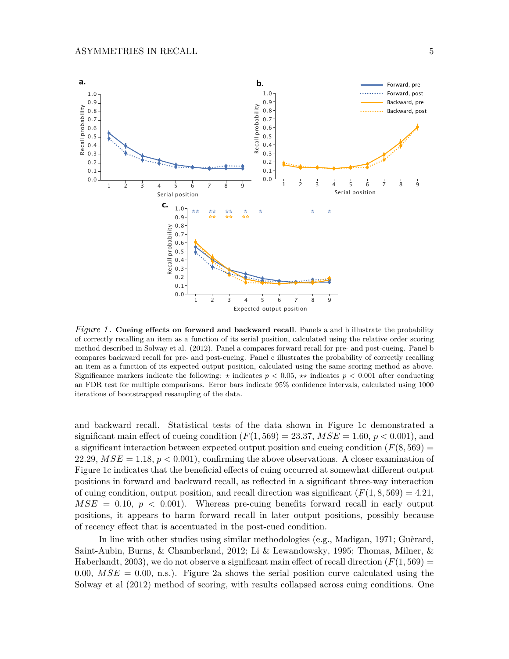

*Figure 1* . **Cueing effects on forward and backward recall**. Panels a and b illustrate the probability of correctly recalling an item as a function of its serial position, calculated using the relative order scoring method described in Solway et al. (2012). Panel a compares forward recall for pre- and post-cueing. Panel b compares backward recall for pre- and post-cueing. Panel c illustrates the probability of correctly recalling an item as a function of its expected output position, calculated using the same scoring method as above. Significance markers indicate the following:  $\star$  indicates  $p < 0.05$ ,  $\star\star$  indicates  $p < 0.001$  after conducting an FDR test for multiple comparisons. Error bars indicate 95% confidence intervals, calculated using 1000 iterations of bootstrapped resampling of the data.

and backward recall. Statistical tests of the data shown in Figure 1c demonstrated a significant main effect of cueing condition  $(F(1, 569) = 23.37, MSE = 1.60, p < 0.001$ , and a significant interaction between expected output position and cueing condition  $(F(8, 569) =$ 22.29,  $MSE = 1.18$ ,  $p < 0.001$ ), confirming the above observations. A closer examination of Figure 1c indicates that the beneficial effects of cuing occurred at somewhat different output positions in forward and backward recall, as reflected in a significant three-way interaction of cuing condition, output position, and recall direction was significant  $(F(1, 8, 569) = 4.21$ ,  $MSE = 0.10, p < 0.001$ . Whereas pre-cuing benefits forward recall in early output positions, it appears to harm forward recall in later output positions, possibly because of recency effect that is accentuated in the post-cued condition.

In line with other studies using similar methodologies (e.g., Madigan, 1971; Guèrard, Saint-Aubin, Burns, & Chamberland, 2012; Li & Lewandowsky, 1995; Thomas, Milner, & Haberlandt, 2003), we do not observe a significant main effect of recall direction  $(F(1, 569) =$ 0.00,  $MSE = 0.00$ , n.s.). Figure 2a shows the serial position curve calculated using the Solway et al (2012) method of scoring, with results collapsed across cuing conditions. One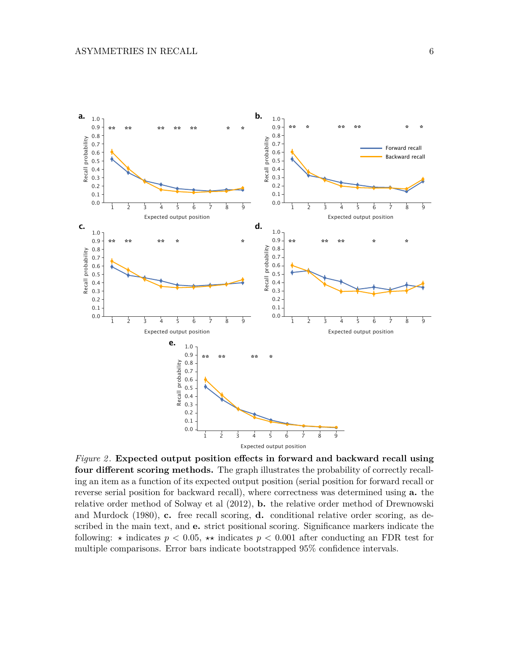

*Figure 2* . **Expected output position effects in forward and backward recall using four different scoring methods.** The graph illustrates the probability of correctly recalling an item as a function of its expected output position (serial position for forward recall or reverse serial position for backward recall), where correctness was determined using **a.** the relative order method of Solway et al (2012), **b.** the relative order method of Drewnowski and Murdock (1980), **c.** free recall scoring, **d.** conditional relative order scoring, as described in the main text, and **e.** strict positional scoring. Significance markers indicate the following:  $\star$  indicates  $p < 0.05$ ,  $\star\star$  indicates  $p < 0.001$  after conducting an FDR test for multiple comparisons. Error bars indicate bootstrapped 95% confidence intervals.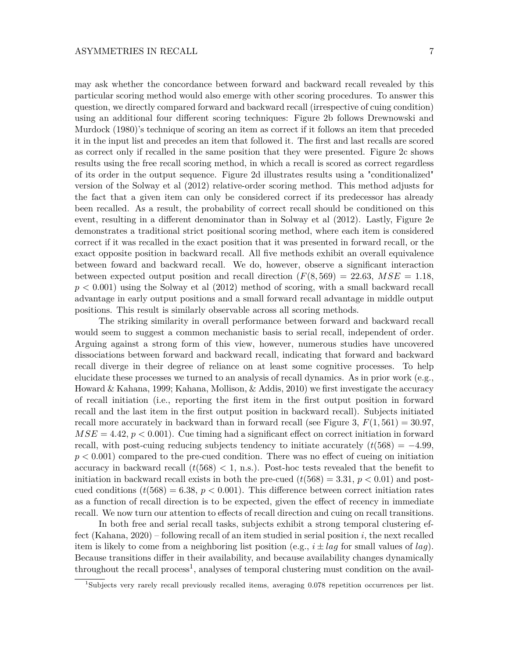may ask whether the concordance between forward and backward recall revealed by this particular scoring method would also emerge with other scoring procedures. To answer this question, we directly compared forward and backward recall (irrespective of cuing condition) using an additional four different scoring techniques: Figure 2b follows Drewnowski and Murdock (1980)'s technique of scoring an item as correct if it follows an item that preceded it in the input list and precedes an item that followed it. The first and last recalls are scored as correct only if recalled in the same position that they were presented. Figure 2c shows results using the free recall scoring method, in which a recall is scored as correct regardless of its order in the output sequence. Figure 2d illustrates results using a "conditionalized" version of the Solway et al (2012) relative-order scoring method. This method adjusts for the fact that a given item can only be considered correct if its predecessor has already been recalled. As a result, the probability of correct recall should be conditioned on this event, resulting in a different denominator than in Solway et al (2012). Lastly, Figure 2e demonstrates a traditional strict positional scoring method, where each item is considered correct if it was recalled in the exact position that it was presented in forward recall, or the exact opposite position in backward recall. All five methods exhibit an overall equivalence between foward and backward recall. We do, however, observe a significant interaction between expected output position and recall direction  $(F(8, 569) = 22.63, MSE = 1.18,$ *p <* 0*.*001) using the Solway et al (2012) method of scoring, with a small backward recall advantage in early output positions and a small forward recall advantage in middle output positions. This result is similarly observable across all scoring methods.

The striking similarity in overall performance between forward and backward recall would seem to suggest a common mechanistic basis to serial recall, independent of order. Arguing against a strong form of this view, however, numerous studies have uncovered dissociations between forward and backward recall, indicating that forward and backward recall diverge in their degree of reliance on at least some cognitive processes. To help elucidate these processes we turned to an analysis of recall dynamics. As in prior work (e.g., Howard & Kahana, 1999; Kahana, Mollison, & Addis, 2010) we first investigate the accuracy of recall initiation (i.e., reporting the first item in the first output position in forward recall and the last item in the first output position in backward recall). Subjects initiated recall more accurately in backward than in forward recall (see Figure 3,  $F(1, 561) = 30.97$ ,  $MSE = 4.42$ ,  $p < 0.001$ . Cue timing had a significant effect on correct initiation in forward recall, with post-cuing reducing subjects tendency to initiate accurately  $(t/568) = -4.99$ , *p <* 0*.*001) compared to the pre-cued condition. There was no effect of cueing on initiation accuracy in backward recall  $(t(568) < 1, n.s.$ ). Post-hoc tests revealed that the benefit to initiation in backward recall exists in both the pre-cued  $(t(568) = 3.31, p < 0.01)$  and postcued conditions  $(t(568) = 6.38, p < 0.001)$ . This difference between correct initiation rates as a function of recall direction is to be expected, given the effect of recency in immediate recall. We now turn our attention to effects of recall direction and cuing on recall transitions.

In both free and serial recall tasks, subjects exhibit a strong temporal clustering effect (Kahana, 2020) – following recall of an item studied in serial position *i*, the next recalled item is likely to come from a neighboring list position (e.g., *i* ± *lag* for small values of *lag*). Because transitions differ in their availability, and because availability changes dynamically throughout the recall process<sup>1</sup>, analyses of temporal clustering must condition on the avail-

<sup>1</sup>Subjects very rarely recall previously recalled items, averaging 0.078 repetition occurrences per list.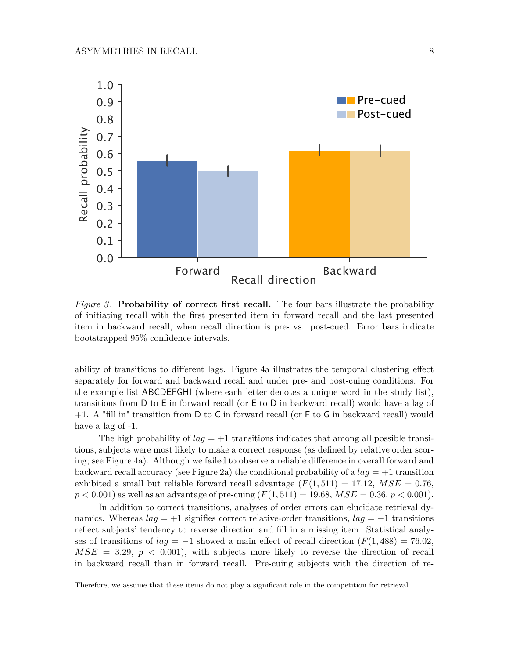

*Figure 3* . **Probability of correct first recall.** The four bars illustrate the probability of initiating recall with the first presented item in forward recall and the last presented item in backward recall, when recall direction is pre- vs. post-cued. Error bars indicate bootstrapped 95% confidence intervals.

ability of transitions to different lags. Figure 4a illustrates the temporal clustering effect separately for forward and backward recall and under pre- and post-cuing conditions. For the example list ABCDEFGHI (where each letter denotes a unique word in the study list), transitions from D to E in forward recall (or E to D in backward recall) would have a lag of +1. A "fill in" transition from D to C in forward recall (or F to G in backward recall) would have a lag of -1.

The high probability of  $lag = +1$  transitions indicates that among all possible transitions, subjects were most likely to make a correct response (as defined by relative order scoring; see Figure 4a). Although we failed to observe a reliable difference in overall forward and backward recall accuracy (see Figure 2a) the conditional probability of a  $laq = +1$  transition exhibited a small but reliable forward recall advantage  $(F(1, 511) = 17.12, MSE = 0.76$ ,  $p < 0.001$  as well as an advantage of pre-cuing  $(F(1, 511) = 19.68, MSE = 0.36, p < 0.001$ .

In addition to correct transitions, analyses of order errors can elucidate retrieval dynamics. Whereas *lag* = +1 signifies correct relative-order transitions, *lag* = −1 transitions reflect subjects' tendency to reverse direction and fill in a missing item. Statistical analyses of transitions of  $la = -1$  showed a main effect of recall direction  $(F(1, 488) = 76.02$ ,  $MSE = 3.29, p < 0.001$ , with subjects more likely to reverse the direction of recall in backward recall than in forward recall. Pre-cuing subjects with the direction of re-

Therefore, we assume that these items do not play a significant role in the competition for retrieval.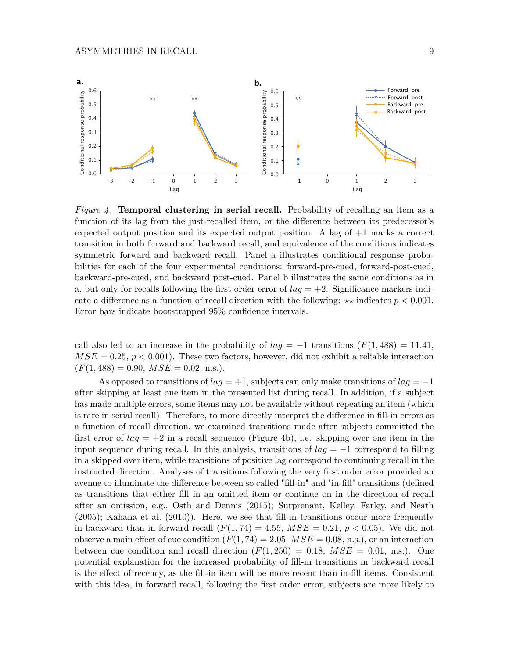

*Figure 4* . **Temporal clustering in serial recall.** Probability of recalling an item as a function of its lag from the just-recalled item, or the difference between its predecessor's expected output position and its expected output position. A lag of  $+1$  marks a correct transition in both forward and backward recall, and equivalence of the conditions indicates symmetric forward and backward recall. Panel a illustrates conditional response probabilities for each of the four experimental conditions: forward-pre-cued, forward-post-cued, backward-pre-cued, and backward post-cued. Panel b illustrates the same conditions as in a, but only for recalls following the first order error of  $laq = +2$ . Significance markers indicate a difference as a function of recall direction with the following:  $\star\star$  indicates  $p < 0.001$ . Error bars indicate bootstrapped 95% confidence intervals.

call also led to an increase in the probability of  $lag = -1$  transitions  $(F(1, 488)) = 11.41$ ,  $MSE = 0.25, p < 0.001$ . These two factors, however, did not exhibit a reliable interaction  $(F(1, 488) = 0.90, MSE = 0.02, n.s.).$ 

As opposed to transitions of *lag* = +1, subjects can only make transitions of *lag* = −1 after skipping at least one item in the presented list during recall. In addition, if a subject has made multiple errors, some items may not be available without repeating an item (which is rare in serial recall). Therefore, to more directly interpret the difference in fill-in errors as a function of recall direction, we examined transitions made after subjects committed the first error of  $lag = +2$  in a recall sequence (Figure 4b), i.e. skipping over one item in the input sequence during recall. In this analysis, transitions of  $l aq = -1$  correspond to filling in a skipped over item, while transitions of positive lag correspond to continuing recall in the instructed direction. Analyses of transitions following the very first order error provided an avenue to illuminate the difference between so called "fill-in" and "in-fill" transitions (defined as transitions that either fill in an omitted item or continue on in the direction of recall after an omission, e.g., Osth and Dennis (2015); Surprenant, Kelley, Farley, and Neath (2005); Kahana et al. (2010)). Here, we see that fill-in transitions occur more frequently in backward than in forward recall  $(F(1, 74) = 4.55, MSE = 0.21, p < 0.05)$ . We did not observe a main effect of cue condition  $(F(1, 74) = 2.05, MSE = 0.08, n.s.)$ , or an interaction between cue condition and recall direction  $(F(1, 250) = 0.18, MSE = 0.01, n.s.).$  One potential explanation for the increased probability of fill-in transitions in backward recall is the effect of recency, as the fill-in item will be more recent than in-fill items. Consistent with this idea, in forward recall, following the first order error, subjects are more likely to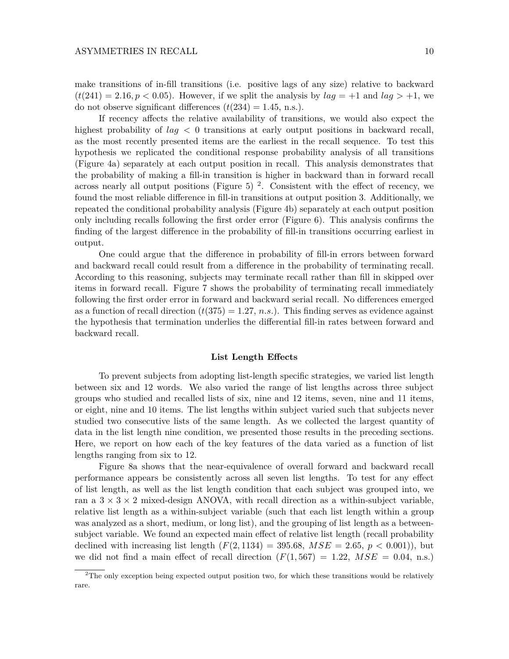make transitions of in-fill transitions (i.e. positive lags of any size) relative to backward  $(t(241) = 2.16, p < 0.05)$ . However, if we split the analysis by  $lag = +1$  and  $lag > +1$ , we do not observe significant differences  $(t(234) = 1.45, n.s.).$ 

If recency affects the relative availability of transitions, we would also expect the highest probability of *lag <* 0 transitions at early output positions in backward recall, as the most recently presented items are the earliest in the recall sequence. To test this hypothesis we replicated the conditional response probability analysis of all transitions (Figure 4a) separately at each output position in recall. This analysis demonstrates that the probability of making a fill-in transition is higher in backward than in forward recall across nearly all output positions (Figure 5)<sup>2</sup>. Consistent with the effect of recency, we found the most reliable difference in fill-in transitions at output position 3. Additionally, we repeated the conditional probability analysis (Figure 4b) separately at each output position only including recalls following the first order error (Figure 6). This analysis confirms the finding of the largest difference in the probability of fill-in transitions occurring earliest in output.

One could argue that the difference in probability of fill-in errors between forward and backward recall could result from a difference in the probability of terminating recall. According to this reasoning, subjects may terminate recall rather than fill in skipped over items in forward recall. Figure 7 shows the probability of terminating recall immediately following the first order error in forward and backward serial recall. No differences emerged as a function of recall direction  $(t(375) = 1.27, n.s.).$  This finding serves as evidence against the hypothesis that termination underlies the differential fill-in rates between forward and backward recall.

#### **List Length Effects**

To prevent subjects from adopting list-length specific strategies, we varied list length between six and 12 words. We also varied the range of list lengths across three subject groups who studied and recalled lists of six, nine and 12 items, seven, nine and 11 items, or eight, nine and 10 items. The list lengths within subject varied such that subjects never studied two consecutive lists of the same length. As we collected the largest quantity of data in the list length nine condition, we presented those results in the preceding sections. Here, we report on how each of the key features of the data varied as a function of list lengths ranging from six to 12.

Figure 8a shows that the near-equivalence of overall forward and backward recall performance appears be consistently across all seven list lengths. To test for any effect of list length, as well as the list length condition that each subject was grouped into, we ran a  $3 \times 3 \times 2$  mixed-design ANOVA, with recall direction as a within-subject variable, relative list length as a within-subject variable (such that each list length within a group was analyzed as a short, medium, or long list), and the grouping of list length as a betweensubject variable. We found an expected main effect of relative list length (recall probability declined with increasing list length  $(F(2, 1134) = 395.68, MSE = 2.65, p < 0.001)$ , but we did not find a main effect of recall direction  $(F(1, 567) = 1.22, MSE = 0.04, n.s.)$ 

<sup>&</sup>lt;sup>2</sup>The only exception being expected output position two, for which these transitions would be relatively rare.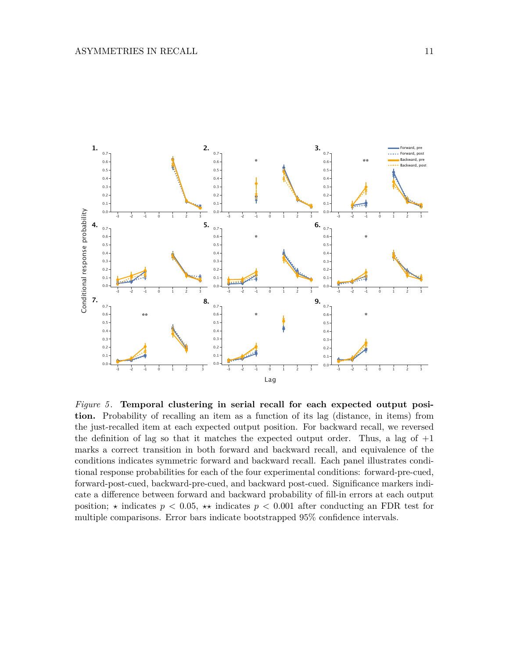

*Figure 5* . **Temporal clustering in serial recall for each expected output position.** Probability of recalling an item as a function of its lag (distance, in items) from the just-recalled item at each expected output position. For backward recall, we reversed the definition of lag so that it matches the expected output order. Thus, a lag of  $+1$ marks a correct transition in both forward and backward recall, and equivalence of the conditions indicates symmetric forward and backward recall. Each panel illustrates conditional response probabilities for each of the four experimental conditions: forward-pre-cued, forward-post-cued, backward-pre-cued, and backward post-cued. Significance markers indicate a difference between forward and backward probability of fill-in errors at each output position;  $\star$  indicates  $p < 0.05$ ,  $\star\star$  indicates  $p < 0.001$  after conducting an FDR test for multiple comparisons. Error bars indicate bootstrapped 95% confidence intervals.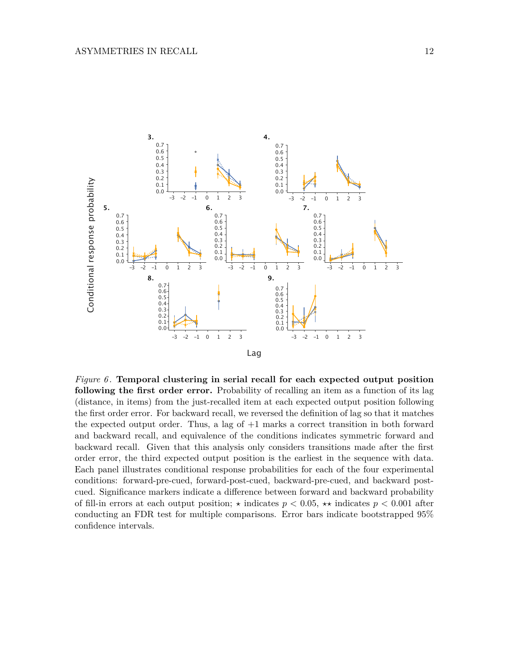

*Figure 6* . **Temporal clustering in serial recall for each expected output position following the first order error.** Probability of recalling an item as a function of its lag (distance, in items) from the just-recalled item at each expected output position following the first order error. For backward recall, we reversed the definition of lag so that it matches the expected output order. Thus, a lag of +1 marks a correct transition in both forward and backward recall, and equivalence of the conditions indicates symmetric forward and backward recall. Given that this analysis only considers transitions made after the first order error, the third expected output position is the earliest in the sequence with data. Each panel illustrates conditional response probabilities for each of the four experimental conditions: forward-pre-cued, forward-post-cued, backward-pre-cued, and backward postcued. Significance markers indicate a difference between forward and backward probability of fill-in errors at each output position;  $\star$  indicates  $p < 0.05$ ,  $\star\star$  indicates  $p < 0.001$  after conducting an FDR test for multiple comparisons. Error bars indicate bootstrapped 95% confidence intervals.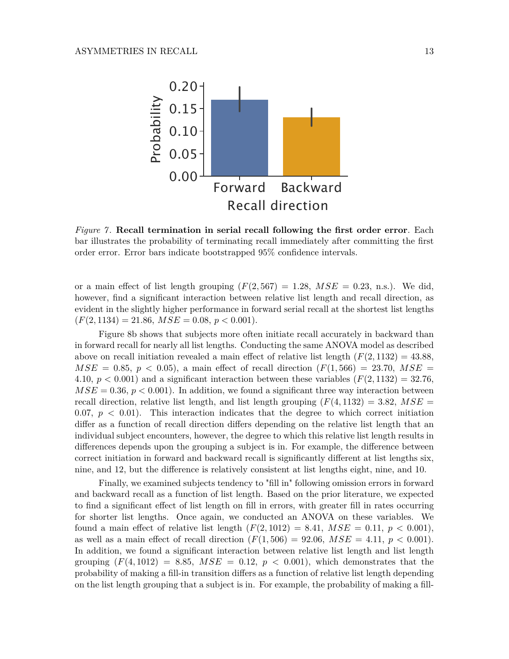

*Figure 7* . **Recall termination in serial recall following the first order error**. Each bar illustrates the probability of terminating recall immediately after committing the first order error. Error bars indicate bootstrapped 95% confidence intervals.

or a main effect of list length grouping  $(F(2, 567) = 1.28, MSE = 0.23, n.s.).$  We did, however, find a significant interaction between relative list length and recall direction, as evident in the slightly higher performance in forward serial recall at the shortest list lengths  $(F(2, 1134) = 21.86, MSE = 0.08, p < 0.001).$ 

Figure 8b shows that subjects more often initiate recall accurately in backward than in forward recall for nearly all list lengths. Conducting the same ANOVA model as described above on recall initiation revealed a main effect of relative list length  $(F(2, 1132) = 43.88$ ,  $MSE = 0.85, p < 0.05$ , a main effect of recall direction  $(F(1, 566) = 23.70, MSE =$ 4.10,  $p < 0.001$ ) and a significant interaction between these variables  $(F(2, 1132) = 32.76$ ,  $MSE = 0.36, p < 0.001$ . In addition, we found a significant three way interaction between recall direction, relative list length, and list length grouping  $(F(4, 1132) = 3.82, MSE =$ 0.07,  $p < 0.01$ ). This interaction indicates that the degree to which correct initiation differ as a function of recall direction differs depending on the relative list length that an individual subject encounters, however, the degree to which this relative list length results in differences depends upon the grouping a subject is in. For example, the difference between correct initiation in forward and backward recall is significantly different at list lengths six, nine, and 12, but the difference is relatively consistent at list lengths eight, nine, and 10.

Finally, we examined subjects tendency to "fill in" following omission errors in forward and backward recall as a function of list length. Based on the prior literature, we expected to find a significant effect of list length on fill in errors, with greater fill in rates occurring for shorter list lengths. Once again, we conducted an ANOVA on these variables. We found a main effect of relative list length  $(F(2, 1012) = 8.41, MSE = 0.11, p < 0.001)$ , as well as a main effect of recall direction  $(F(1, 506) = 92.06, MSE = 4.11, p < 0.001)$ . In addition, we found a significant interaction between relative list length and list length grouping  $(F(4, 1012) = 8.85$ ,  $MSE = 0.12$ ,  $p < 0.001$ ), which demonstrates that the probability of making a fill-in transition differs as a function of relative list length depending on the list length grouping that a subject is in. For example, the probability of making a fill-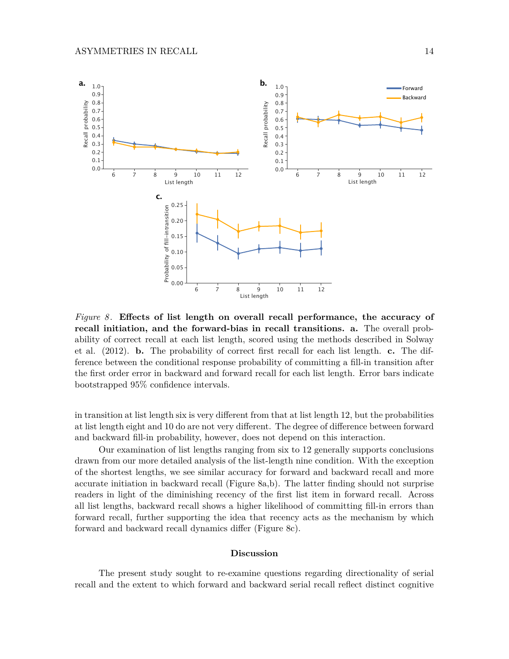

*Figure 8* . **Effects of list length on overall recall performance, the accuracy of recall initiation, and the forward-bias in recall transitions. a.** The overall probability of correct recall at each list length, scored using the methods described in Solway et al. (2012). **b.** The probability of correct first recall for each list length. **c.** The difference between the conditional response probability of committing a fill-in transition after the first order error in backward and forward recall for each list length. Error bars indicate bootstrapped 95% confidence intervals.

in transition at list length six is very different from that at list length 12, but the probabilities at list length eight and 10 do are not very different. The degree of difference between forward and backward fill-in probability, however, does not depend on this interaction.

Our examination of list lengths ranging from six to 12 generally supports conclusions drawn from our more detailed analysis of the list-length nine condition. With the exception of the shortest lengths, we see similar accuracy for forward and backward recall and more accurate initiation in backward recall (Figure 8a,b). The latter finding should not surprise readers in light of the diminishing recency of the first list item in forward recall. Across all list lengths, backward recall shows a higher likelihood of committing fill-in errors than forward recall, further supporting the idea that recency acts as the mechanism by which forward and backward recall dynamics differ (Figure 8c).

### **Discussion**

The present study sought to re-examine questions regarding directionality of serial recall and the extent to which forward and backward serial recall reflect distinct cognitive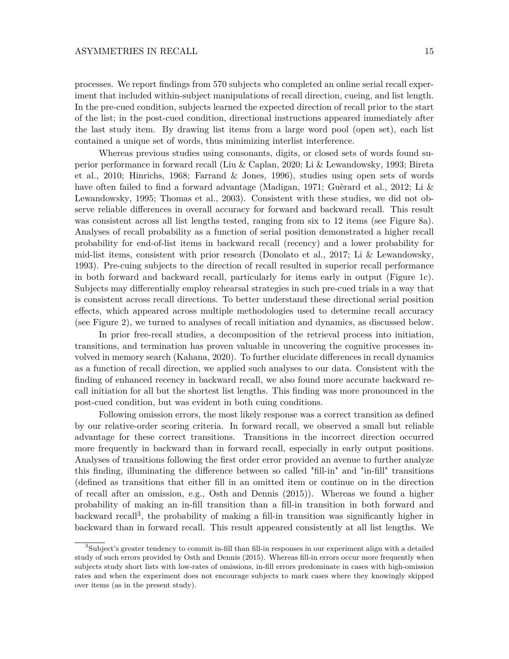processes. We report findings from 570 subjects who completed an online serial recall experiment that included within-subject manipulations of recall direction, cueing, and list length. In the pre-cued condition, subjects learned the expected direction of recall prior to the start of the list; in the post-cued condition, directional instructions appeared immediately after the last study item. By drawing list items from a large word pool (open set), each list contained a unique set of words, thus minimizing interlist interference.

Whereas previous studies using consonants, digits, or closed sets of words found superior performance in forward recall (Liu & Caplan, 2020; Li & Lewandowsky, 1993; Bireta et al., 2010; Hinrichs, 1968; Farrand & Jones, 1996), studies using open sets of words have often failed to find a forward advantage (Madigan, 1971; Guèrard et al., 2012; Li & Lewandowsky, 1995; Thomas et al., 2003). Consistent with these studies, we did not observe reliable differences in overall accuracy for forward and backward recall. This result was consistent across all list lengths tested, ranging from six to 12 items (see Figure 8a). Analyses of recall probability as a function of serial position demonstrated a higher recall probability for end-of-list items in backward recall (recency) and a lower probability for mid-list items, consistent with prior research (Donolato et al., 2017; Li & Lewandowsky, 1993). Pre-cuing subjects to the direction of recall resulted in superior recall performance in both forward and backward recall, particularly for items early in output (Figure 1c). Subjects may differentially employ rehearsal strategies in such pre-cued trials in a way that is consistent across recall directions. To better understand these directional serial position effects, which appeared across multiple methodologies used to determine recall accuracy (see Figure 2), we turned to analyses of recall initiation and dynamics, as discussed below.

In prior free-recall studies, a decomposition of the retrieval process into initiation, transitions, and termination has proven valuable in uncovering the cognitive processes involved in memory search (Kahana, 2020). To further elucidate differences in recall dynamics as a function of recall direction, we applied such analyses to our data. Consistent with the finding of enhanced recency in backward recall, we also found more accurate backward recall initiation for all but the shortest list lengths. This finding was more pronounced in the post-cued condition, but was evident in both cuing conditions.

Following omission errors, the most likely response was a correct transition as defined by our relative-order scoring criteria. In forward recall, we observed a small but reliable advantage for these correct transitions. Transitions in the incorrect direction occurred more frequently in backward than in forward recall, especially in early output positions. Analyses of transitions following the first order error provided an avenue to further analyze this finding, illuminating the difference between so called "fill-in" and "in-fill" transitions (defined as transitions that either fill in an omitted item or continue on in the direction of recall after an omission, e.g., Osth and Dennis (2015)). Whereas we found a higher probability of making an in-fill transition than a fill-in transition in both forward and backward recall<sup>3</sup>, the probability of making a fill-in transition was significantly higher in backward than in forward recall. This result appeared consistently at all list lengths. We

<sup>3</sup>Subject's greater tendency to commit in-fill than fill-in responses in our experiment align with a detailed study of such errors provided by Osth and Dennis (2015). Whereas fill-in errors occur more frequently when subjects study short lists with low-rates of omissions, in-fill errors predominate in cases with high-omission rates and when the experiment does not encourage subjects to mark cases where they knowingly skipped over items (as in the present study).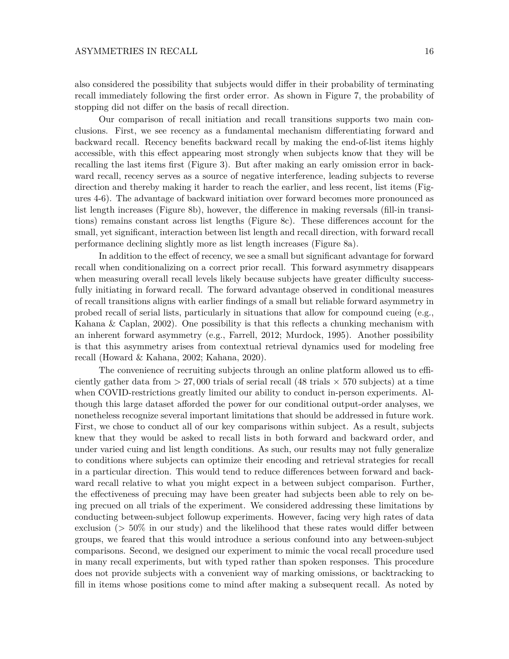also considered the possibility that subjects would differ in their probability of terminating recall immediately following the first order error. As shown in Figure 7, the probability of stopping did not differ on the basis of recall direction.

Our comparison of recall initiation and recall transitions supports two main conclusions. First, we see recency as a fundamental mechanism differentiating forward and backward recall. Recency benefits backward recall by making the end-of-list items highly accessible, with this effect appearing most strongly when subjects know that they will be recalling the last items first (Figure 3). But after making an early omission error in backward recall, recency serves as a source of negative interference, leading subjects to reverse direction and thereby making it harder to reach the earlier, and less recent, list items (Figures 4-6). The advantage of backward initiation over forward becomes more pronounced as list length increases (Figure 8b), however, the difference in making reversals (fill-in transitions) remains constant across list lengths (Figure 8c). These differences account for the small, yet significant, interaction between list length and recall direction, with forward recall performance declining slightly more as list length increases (Figure 8a).

In addition to the effect of recency, we see a small but significant advantage for forward recall when conditionalizing on a correct prior recall. This forward asymmetry disappears when measuring overall recall levels likely because subjects have greater difficulty successfully initiating in forward recall. The forward advantage observed in conditional measures of recall transitions aligns with earlier findings of a small but reliable forward asymmetry in probed recall of serial lists, particularly in situations that allow for compound cueing (e.g., Kahana & Caplan, 2002). One possibility is that this reflects a chunking mechanism with an inherent forward asymmetry (e.g., Farrell, 2012; Murdock, 1995). Another possibility is that this asymmetry arises from contextual retrieval dynamics used for modeling free recall (Howard & Kahana, 2002; Kahana, 2020).

The convenience of recruiting subjects through an online platform allowed us to efficiently gather data from  $> 27,000$  trials of serial recall (48 trials  $\times$  570 subjects) at a time when COVID-restrictions greatly limited our ability to conduct in-person experiments. Although this large dataset afforded the power for our conditional output-order analyses, we nonetheless recognize several important limitations that should be addressed in future work. First, we chose to conduct all of our key comparisons within subject. As a result, subjects knew that they would be asked to recall lists in both forward and backward order, and under varied cuing and list length conditions. As such, our results may not fully generalize to conditions where subjects can optimize their encoding and retrieval strategies for recall in a particular direction. This would tend to reduce differences between forward and backward recall relative to what you might expect in a between subject comparison. Further, the effectiveness of precuing may have been greater had subjects been able to rely on being precued on all trials of the experiment. We considered addressing these limitations by conducting between-subject followup experiments. However, facing very high rates of data exclusion (*>* 50% in our study) and the likelihood that these rates would differ between groups, we feared that this would introduce a serious confound into any between-subject comparisons. Second, we designed our experiment to mimic the vocal recall procedure used in many recall experiments, but with typed rather than spoken responses. This procedure does not provide subjects with a convenient way of marking omissions, or backtracking to fill in items whose positions come to mind after making a subsequent recall. As noted by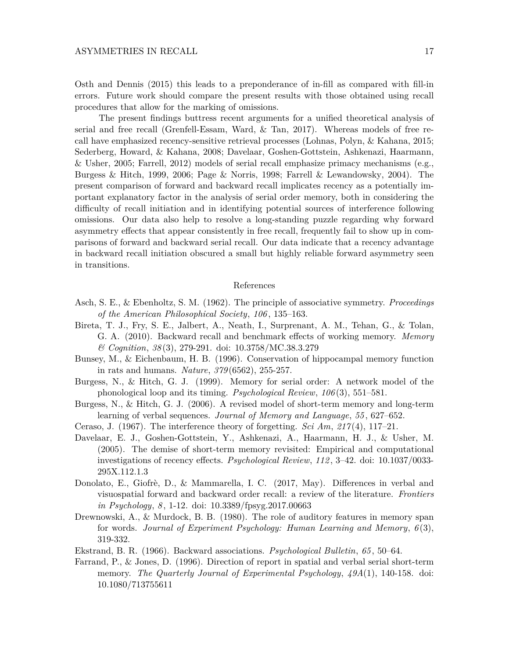Osth and Dennis (2015) this leads to a preponderance of in-fill as compared with fill-in errors. Future work should compare the present results with those obtained using recall procedures that allow for the marking of omissions.

The present findings buttress recent arguments for a unified theoretical analysis of serial and free recall (Grenfell-Essam, Ward, & Tan, 2017). Whereas models of free recall have emphasized recency-sensitive retrieval processes (Lohnas, Polyn, & Kahana, 2015; Sederberg, Howard, & Kahana, 2008; Davelaar, Goshen-Gottstein, Ashkenazi, Haarmann, & Usher, 2005; Farrell, 2012) models of serial recall emphasize primacy mechanisms (e.g., Burgess & Hitch, 1999, 2006; Page & Norris, 1998; Farrell & Lewandowsky, 2004). The present comparison of forward and backward recall implicates recency as a potentially important explanatory factor in the analysis of serial order memory, both in considering the difficulty of recall initiation and in identifying potential sources of interference following omissions. Our data also help to resolve a long-standing puzzle regarding why forward asymmetry effects that appear consistently in free recall, frequently fail to show up in comparisons of forward and backward serial recall. Our data indicate that a recency advantage in backward recall initiation obscured a small but highly reliable forward asymmetry seen in transitions.

#### References

- Asch, S. E., & Ebenholtz, S. M. (1962). The principle of associative symmetry. *Proceedings of the American Philosophical Society*, *106* , 135–163.
- Bireta, T. J., Fry, S. E., Jalbert, A., Neath, I., Surprenant, A. M., Tehan, G., & Tolan, G. A. (2010). Backward recall and benchmark effects of working memory. *Memory & Cognition*, *38* (3), 279-291. doi: 10.3758/MC.38.3.279
- Bunsey, M., & Eichenbaum, H. B. (1996). Conservation of hippocampal memory function in rats and humans. *Nature*, *379* (6562), 255-257.
- Burgess, N., & Hitch, G. J. (1999). Memory for serial order: A network model of the phonological loop and its timing. *Psychological Review*, *106* (3), 551–581.
- Burgess, N., & Hitch, G. J. (2006). A revised model of short-term memory and long-term learning of verbal sequences. *Journal of Memory and Language*, *55* , 627–652.
- Ceraso, J. (1967). The interference theory of forgetting. *Sci Am*, *217* (4), 117–21.
- Davelaar, E. J., Goshen-Gottstein, Y., Ashkenazi, A., Haarmann, H. J., & Usher, M. (2005). The demise of short-term memory revisited: Empirical and computational investigations of recency effects. *Psychological Review*, *112* , 3–42. doi: 10.1037/0033- 295X.112.1.3
- Donolato, E., Giofrè, D., & Mammarella, I. C. (2017, May). Differences in verbal and visuospatial forward and backward order recall: a review of the literature. *Frontiers in Psychology*, *8* , 1-12. doi: 10.3389/fpsyg.2017.00663
- Drewnowski, A., & Murdock, B. B. (1980). The role of auditory features in memory span for words. *Journal of Experiment Psychology: Human Learning and Memory*, *6* (3), 319-332.
- Ekstrand, B. R. (1966). Backward associations. *Psychological Bulletin*, *65* , 50–64.
- Farrand, P., & Jones, D. (1996). Direction of report in spatial and verbal serial short-term memory. *The Quarterly Journal of Experimental Psychology*, *49A*(1), 140-158. doi: 10.1080/713755611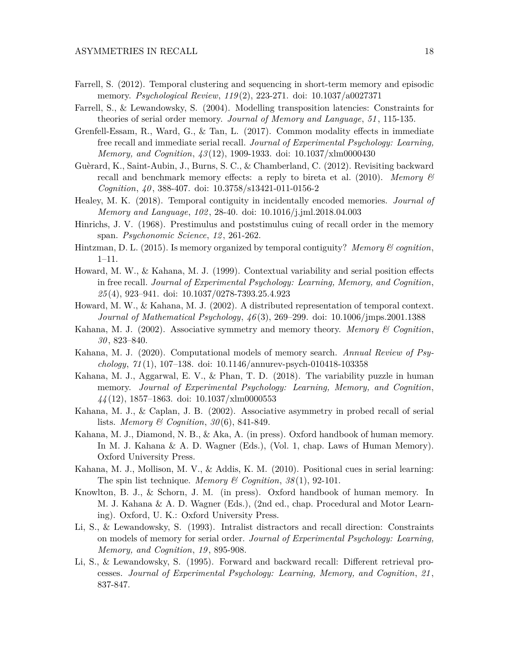- Farrell, S. (2012). Temporal clustering and sequencing in short-term memory and episodic memory. *Psychological Review*, *119* (2), 223-271. doi: 10.1037/a0027371
- Farrell, S., & Lewandowsky, S. (2004). Modelling transposition latencies: Constraints for theories of serial order memory. *Journal of Memory and Language*, *51* , 115-135.
- Grenfell-Essam, R., Ward, G., & Tan, L. (2017). Common modality effects in immediate free recall and immediate serial recall. *Journal of Experimental Psychology: Learning, Memory, and Cognition*, *43* (12), 1909-1933. doi: 10.1037/xlm0000430
- Guèrard, K., Saint-Aubin, J., Burns, S. C., & Chamberland, C. (2012). Revisiting backward recall and benchmark memory effects: a reply to bireta et al. (2010). *Memory & Cognition*, *40* , 388-407. doi: 10.3758/s13421-011-0156-2
- Healey, M. K. (2018). Temporal contiguity in incidentally encoded memories. *Journal of Memory and Language*, *102* , 28-40. doi: 10.1016/j.jml.2018.04.003
- Hinrichs, J. V. (1968). Prestimulus and poststimulus cuing of recall order in the memory span. *Psychonomic Science*, *12* , 261-262.
- Hintzman, D. L. (2015). Is memory organized by temporal contiguity? *Memory & cognition*, 1–11.
- Howard, M. W., & Kahana, M. J. (1999). Contextual variability and serial position effects in free recall. *Journal of Experimental Psychology: Learning, Memory, and Cognition*, *25* (4), 923–941. doi: 10.1037/0278-7393.25.4.923
- Howard, M. W., & Kahana, M. J. (2002). A distributed representation of temporal context. *Journal of Mathematical Psychology*, *46* (3), 269–299. doi: 10.1006/jmps.2001.1388
- Kahana, M. J. (2002). Associative symmetry and memory theory. *Memory & Cognition*, *30* , 823–840.
- Kahana, M. J. (2020). Computational models of memory search. *Annual Review of Psychology*, *71* (1), 107–138. doi: 10.1146/annurev-psych-010418-103358
- Kahana, M. J., Aggarwal, E. V., & Phan, T. D. (2018). The variability puzzle in human memory. *Journal of Experimental Psychology: Learning, Memory, and Cognition*, *44* (12), 1857–1863. doi: 10.1037/xlm0000553
- Kahana, M. J., & Caplan, J. B. (2002). Associative asymmetry in probed recall of serial lists. *Memory & Cognition*, *30* (6), 841-849.
- Kahana, M. J., Diamond, N. B., & Aka, A. (in press). Oxford handbook of human memory. In M. J. Kahana & A. D. Wagner (Eds.), (Vol. 1, chap. Laws of Human Memory). Oxford University Press.
- Kahana, M. J., Mollison, M. V., & Addis, K. M. (2010). Positional cues in serial learning: The spin list technique. *Memory & Cognition*, *38* (1), 92-101.
- Knowlton, B. J., & Schorn, J. M. (in press). Oxford handbook of human memory. In M. J. Kahana & A. D. Wagner (Eds.), (2nd ed., chap. Procedural and Motor Learning). Oxford, U. K.: Oxford University Press.
- Li, S., & Lewandowsky, S. (1993). Intralist distractors and recall direction: Constraints on models of memory for serial order. *Journal of Experimental Psychology: Learning, Memory, and Cognition*, *19* , 895-908.
- Li, S., & Lewandowsky, S. (1995). Forward and backward recall: Different retrieval processes. *Journal of Experimental Psychology: Learning, Memory, and Cognition*, *21* , 837-847.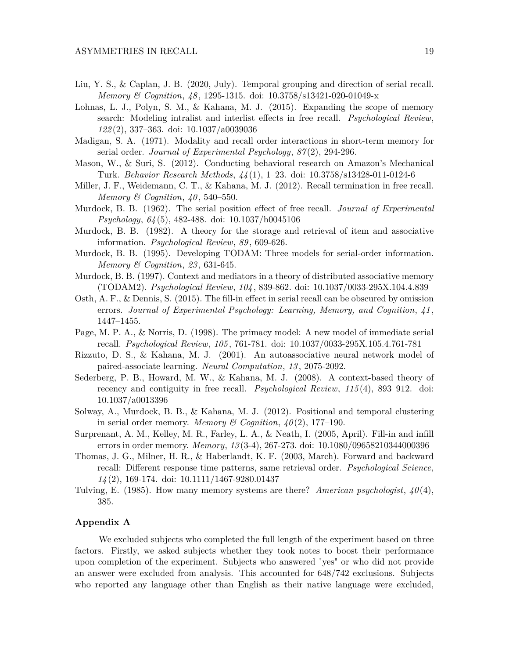- Liu, Y. S., & Caplan, J. B. (2020, July). Temporal grouping and direction of serial recall. *Memory & Cognition*, *48* , 1295-1315. doi: 10.3758/s13421-020-01049-x
- Lohnas, L. J., Polyn, S. M., & Kahana, M. J. (2015). Expanding the scope of memory search: Modeling intralist and interlist effects in free recall. *Psychological Review*, *122* (2), 337–363. doi: 10.1037/a0039036
- Madigan, S. A. (1971). Modality and recall order interactions in short-term memory for serial order. *Journal of Experimental Psychology*, *87* (2), 294-296.
- Mason, W., & Suri, S. (2012). Conducting behavioral research on Amazon's Mechanical Turk. *Behavior Research Methods*, *44* (1), 1–23. doi: 10.3758/s13428-011-0124-6
- Miller, J. F., Weidemann, C. T., & Kahana, M. J. (2012). Recall termination in free recall. *Memory & Cognition*, *40* , 540–550.
- Murdock, B. B. (1962). The serial position effect of free recall. *Journal of Experimental Psychology*, *64* (5), 482-488. doi: 10.1037/h0045106
- Murdock, B. B. (1982). A theory for the storage and retrieval of item and associative information. *Psychological Review*, *89* , 609-626.
- Murdock, B. B. (1995). Developing TODAM: Three models for serial-order information. *Memory & Cognition*, *23* , 631-645.
- Murdock, B. B. (1997). Context and mediators in a theory of distributed associative memory (TODAM2). *Psychological Review*, *104* , 839-862. doi: 10.1037/0033-295X.104.4.839
- Osth, A. F., & Dennis, S. (2015). The fill-in effect in serial recall can be obscured by omission errors. *Journal of Experimental Psychology: Learning, Memory, and Cognition*, *41* , 1447–1455.
- Page, M. P. A., & Norris, D. (1998). The primacy model: A new model of immediate serial recall. *Psychological Review*, *105* , 761-781. doi: 10.1037/0033-295X.105.4.761-781
- Rizzuto, D. S., & Kahana, M. J. (2001). An autoassociative neural network model of paired-associate learning. *Neural Computation*, *13* , 2075-2092.
- Sederberg, P. B., Howard, M. W., & Kahana, M. J. (2008). A context-based theory of recency and contiguity in free recall. *Psychological Review*, *115* (4), 893–912. doi: 10.1037/a0013396
- Solway, A., Murdock, B. B., & Kahana, M. J. (2012). Positional and temporal clustering in serial order memory. *Memory* & Cognition,  $\mu(0, 2)$ , 177–190.
- Surprenant, A. M., Kelley, M. R., Farley, L. A., & Neath, I. (2005, April). Fill-in and infill errors in order memory. *Memory*, *13* (3-4), 267-273. doi: 10.1080/09658210344000396
- Thomas, J. G., Milner, H. R., & Haberlandt, K. F. (2003, March). Forward and backward recall: Different response time patterns, same retrieval order. *Psychological Science*, *14* (2), 169-174. doi: 10.1111/1467-9280.01437
- Tulving, E. (1985). How many memory systems are there? *American psychologist*, *40* (4), 385.

### **Appendix A**

We excluded subjects who completed the full length of the experiment based on three factors. Firstly, we asked subjects whether they took notes to boost their performance upon completion of the experiment. Subjects who answered "yes" or who did not provide an answer were excluded from analysis. This accounted for 648/742 exclusions. Subjects who reported any language other than English as their native language were excluded,